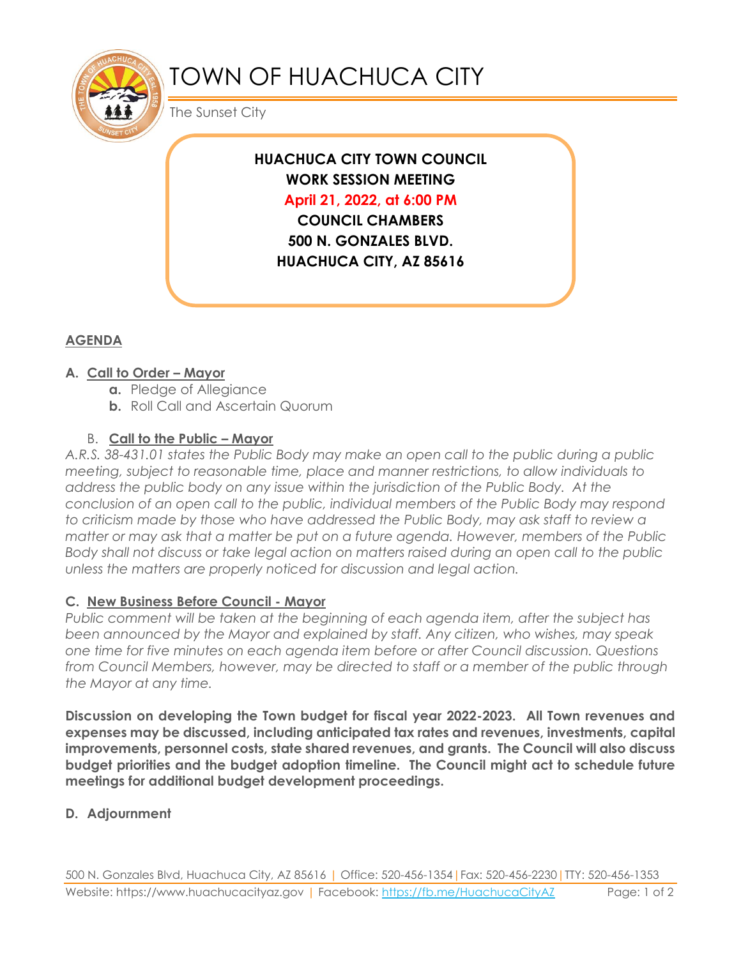

# TOWN OF HUACHUCA CITY

The Sunset City

**HUACHUCA CITY TOWN COUNCIL WORK SESSION MEETING April 21, 2022, at 6:00 PM COUNCIL CHAMBERS**

**500 N. GONZALES BLVD. HUACHUCA CITY, AZ 85616**

## **AGENDA**

## **A. Call to Order – Mayor**

- **a.** Pledge of Allegiance
- **b.** Roll Call and Ascertain Quorum

## B. **Call to the Public – Mayor**

*A.R.S. 38-431.01 states the Public Body may make an open call to the public during a public meeting, subject to reasonable time, place and manner restrictions, to allow individuals to address the public body on any issue within the jurisdiction of the Public Body. At the conclusion of an open call to the public, individual members of the Public Body may respond to criticism made by those who have addressed the Public Body, may ask staff to review a matter or may ask that a matter be put on a future agenda. However, members of the Public Body shall not discuss or take legal action on matters raised during an open call to the public unless the matters are properly noticed for discussion and legal action.*

## **C. New Business Before Council - Mayor**

*Public comment will be taken at the beginning of each agenda item, after the subject has been announced by the Mayor and explained by staff. Any citizen, who wishes, may speak one time for five minutes on each agenda item before or after Council discussion. Questions from Council Members, however, may be directed to staff or a member of the public through the Mayor at any time.* 

**Discussion on developing the Town budget for fiscal year 2022-2023. All Town revenues and expenses may be discussed, including anticipated tax rates and revenues, investments, capital improvements, personnel costs, state shared revenues, and grants. The Council will also discuss budget priorities and the budget adoption timeline. The Council might act to schedule future meetings for additional budget development proceedings.**

## **D. Adjournment**